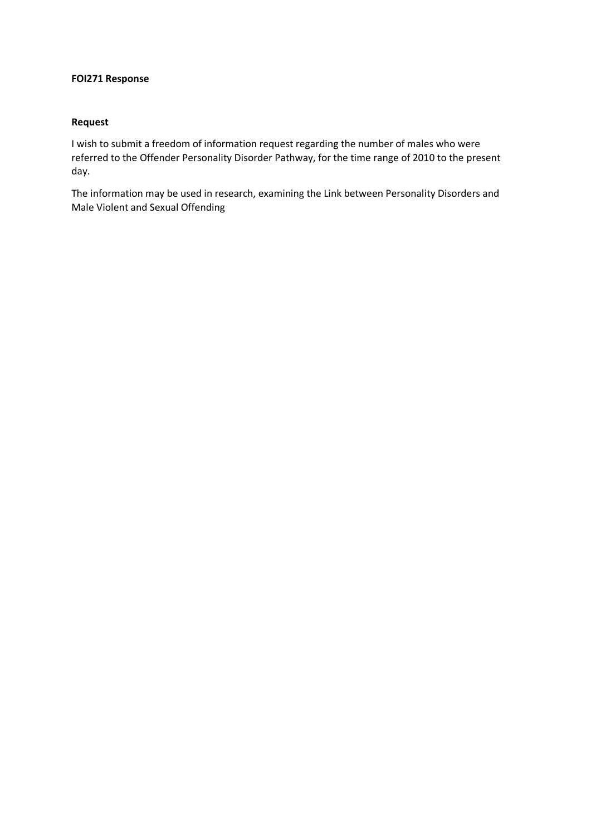## **FOI271 Response**

## **Request**

I wish to submit a freedom of information request regarding the number of males who were referred to the Offender Personality Disorder Pathway, for the time range of 2010 to the present day.

The information may be used in research, examining the Link between Personality Disorders and Male Violent and Sexual Offending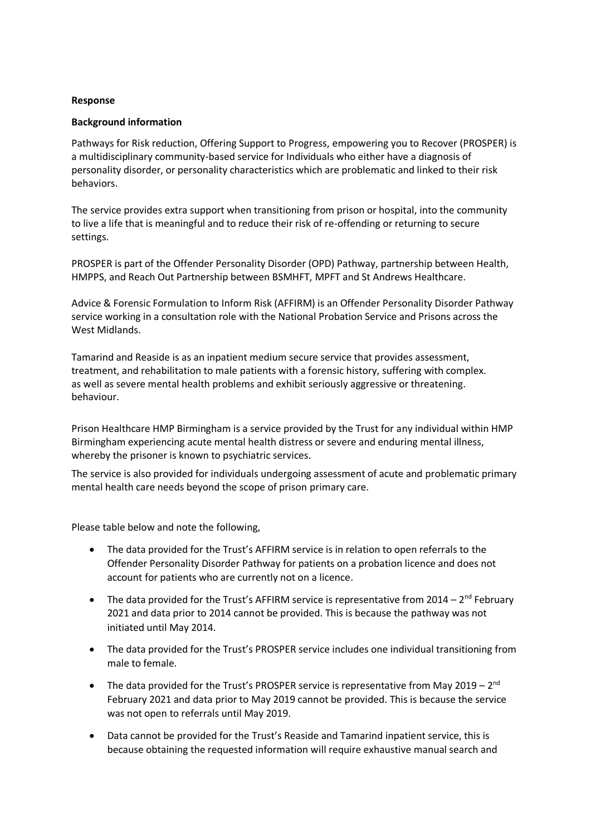## **Response**

## **Background information**

Pathways for Risk reduction, Offering Support to Progress, empowering you to Recover (PROSPER) is a multidisciplinary community-based service for Individuals who either have a diagnosis of personality disorder, or personality characteristics which are problematic and linked to their risk behaviors.

The service provides extra support when transitioning from prison or hospital, into the community to live a life that is meaningful and to reduce their risk of re-offending or returning to secure settings.

PROSPER is part of the Offender Personality Disorder (OPD) Pathway, partnership between Health, HMPPS, and Reach Out Partnership between BSMHFT, MPFT and St Andrews Healthcare.

Advice & Forensic Formulation to Inform Risk (AFFIRM) is an Offender Personality Disorder Pathway service working in a consultation role with the National Probation Service and Prisons across the West Midlands.

Tamarind and Reaside is as an inpatient medium secure service that provides assessment, treatment, and rehabilitation to male patients with a forensic history, suffering with complex. as well as severe mental health problems and exhibit seriously aggressive or threatening. behaviour.

Prison Healthcare HMP Birmingham is a service provided by the Trust for any individual within HMP Birmingham experiencing acute mental health distress or severe and enduring mental illness, whereby the prisoner is known to psychiatric services.

The service is also provided for individuals undergoing assessment of acute and problematic primary mental health care needs beyond the scope of prison primary care.

Please table below and note the following,

- The data provided for the Trust's AFFIRM service is in relation to open referrals to the Offender Personality Disorder Pathway for patients on a probation licence and does not account for patients who are currently not on a licence.
- The data provided for the Trust's AFFIRM service is representative from  $2014 2<sup>nd</sup>$  February 2021 and data prior to 2014 cannot be provided. This is because the pathway was not initiated until May 2014.
- The data provided for the Trust's PROSPER service includes one individual transitioning from male to female.
- The data provided for the Trust's PROSPER service is representative from May 2019  $2^{nd}$ February 2021 and data prior to May 2019 cannot be provided. This is because the service was not open to referrals until May 2019.
- Data cannot be provided for the Trust's Reaside and Tamarind inpatient service, this is because obtaining the requested information will require exhaustive manual search and